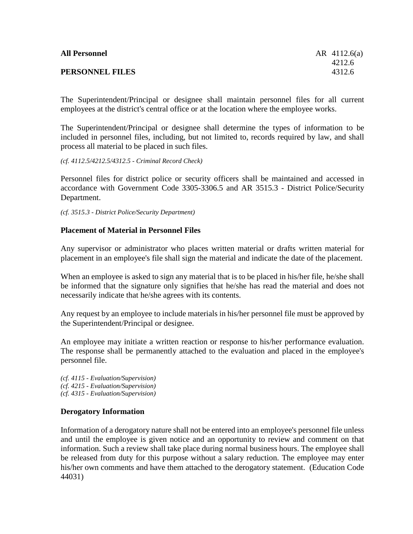| <b>All Personnel</b> | AR $4112.6(a)$ |
|----------------------|----------------|
|                      | 4212.6         |
| PERSONNEL FILES      | 4312.6         |

The Superintendent/Principal or designee shall maintain personnel files for all current employees at the district's central office or at the location where the employee works.

The Superintendent/Principal or designee shall determine the types of information to be included in personnel files, including, but not limited to, records required by law, and shall process all material to be placed in such files.

*(cf. 4112.5/4212.5/4312.5 - Criminal Record Check)*

Personnel files for district police or security officers shall be maintained and accessed in accordance with Government Code 3305-3306.5 and AR 3515.3 - District Police/Security Department.

*(cf. 3515.3 - District Police/Security Department)*

## **Placement of Material in Personnel Files**

Any supervisor or administrator who places written material or drafts written material for placement in an employee's file shall sign the material and indicate the date of the placement.

When an employee is asked to sign any material that is to be placed in his/her file, he/she shall be informed that the signature only signifies that he/she has read the material and does not necessarily indicate that he/she agrees with its contents.

Any request by an employee to include materials in his/her personnel file must be approved by the Superintendent/Principal or designee.

An employee may initiate a written reaction or response to his/her performance evaluation. The response shall be permanently attached to the evaluation and placed in the employee's personnel file.

*(cf. 4115 - Evaluation/Supervision) (cf. 4215 - Evaluation/Supervision) (cf. 4315 - Evaluation/Supervision)*

## **Derogatory Information**

Information of a derogatory nature shall not be entered into an employee's personnel file unless and until the employee is given notice and an opportunity to review and comment on that information. Such a review shall take place during normal business hours. The employee shall be released from duty for this purpose without a salary reduction. The employee may enter his/her own comments and have them attached to the derogatory statement. (Education Code 44031)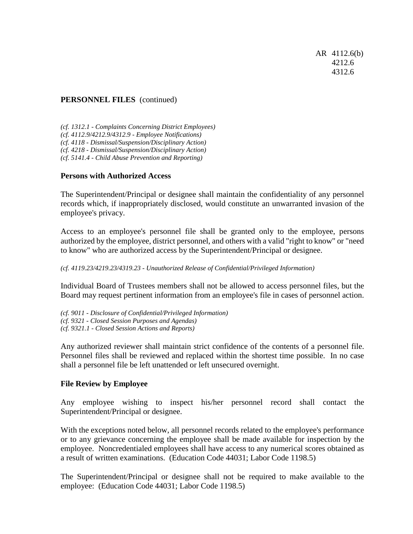AR 4112.6(b) 4212.6 4312.6

## **PERSONNEL FILES** (continued)

*(cf. 1312.1 - Complaints Concerning District Employees) (cf. 4112.9/4212.9/4312.9 - Employee Notifications) (cf. 4118 - Dismissal/Suspension/Disciplinary Action) (cf. 4218 - Dismissal/Suspension/Disciplinary Action) (cf. 5141.4 - Child Abuse Prevention and Reporting)*

## **Persons with Authorized Access**

The Superintendent/Principal or designee shall maintain the confidentiality of any personnel records which, if inappropriately disclosed, would constitute an unwarranted invasion of the employee's privacy.

Access to an employee's personnel file shall be granted only to the employee, persons authorized by the employee, district personnel, and others with a valid "right to know" or "need to know" who are authorized access by the Superintendent/Principal or designee.

*(cf. 4119.23/4219.23/4319.23 - Unauthorized Release of Confidential/Privileged Information)*

Individual Board of Trustees members shall not be allowed to access personnel files, but the Board may request pertinent information from an employee's file in cases of personnel action.

*(cf. 9011 - Disclosure of Confidential/Privileged Information)*

*(cf. 9321 - Closed Session Purposes and Agendas)*

*(cf. 9321.1 - Closed Session Actions and Reports)*

Any authorized reviewer shall maintain strict confidence of the contents of a personnel file. Personnel files shall be reviewed and replaced within the shortest time possible. In no case shall a personnel file be left unattended or left unsecured overnight.

#### **File Review by Employee**

Any employee wishing to inspect his/her personnel record shall contact the Superintendent/Principal or designee.

With the exceptions noted below, all personnel records related to the employee's performance or to any grievance concerning the employee shall be made available for inspection by the employee. Noncredentialed employees shall have access to any numerical scores obtained as a result of written examinations. (Education Code 44031; Labor Code 1198.5)

The Superintendent/Principal or designee shall not be required to make available to the employee: (Education Code 44031; Labor Code 1198.5)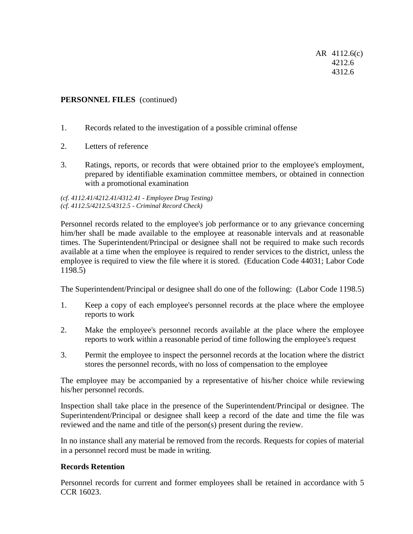AR 4112.6(c) 4212.6 4312.6

# **PERSONNEL FILES** (continued)

- 1. Records related to the investigation of a possible criminal offense
- 2. Letters of reference
- 3. Ratings, reports, or records that were obtained prior to the employee's employment, prepared by identifiable examination committee members, or obtained in connection with a promotional examination

*(cf. 4112.41/4212.41/4312.41 - Employee Drug Testing) (cf. 4112.5/4212.5/4312.5 - Criminal Record Check)*

Personnel records related to the employee's job performance or to any grievance concerning him/her shall be made available to the employee at reasonable intervals and at reasonable times. The Superintendent/Principal or designee shall not be required to make such records available at a time when the employee is required to render services to the district, unless the employee is required to view the file where it is stored. (Education Code 44031; Labor Code 1198.5)

The Superintendent/Principal or designee shall do one of the following: (Labor Code 1198.5)

- 1. Keep a copy of each employee's personnel records at the place where the employee reports to work
- 2. Make the employee's personnel records available at the place where the employee reports to work within a reasonable period of time following the employee's request
- 3. Permit the employee to inspect the personnel records at the location where the district stores the personnel records, with no loss of compensation to the employee

The employee may be accompanied by a representative of his/her choice while reviewing his/her personnel records.

Inspection shall take place in the presence of the Superintendent/Principal or designee. The Superintendent/Principal or designee shall keep a record of the date and time the file was reviewed and the name and title of the person(s) present during the review.

In no instance shall any material be removed from the records. Requests for copies of material in a personnel record must be made in writing.

## **Records Retention**

Personnel records for current and former employees shall be retained in accordance with 5 CCR 16023.